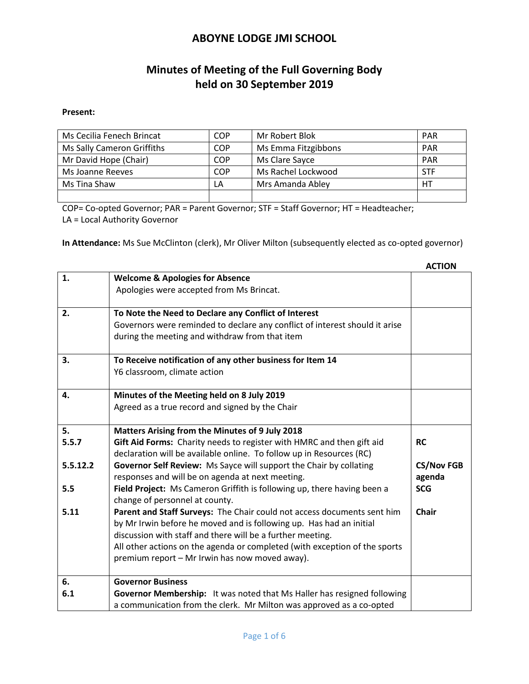# **Minutes of Meeting of the Full Governing Body held on 30 September 2019**

#### **Present:**

| Ms Cecilia Fenech Brincat  | COP | Mr Robert Blok      | <b>PAR</b> |
|----------------------------|-----|---------------------|------------|
| Ms Sally Cameron Griffiths | COP | Ms Emma Fitzgibbons | <b>PAR</b> |
| Mr David Hope (Chair)      | COP | Ms Clare Sayce      | <b>PAR</b> |
| Ms Joanne Reeves           | COP | Ms Rachel Lockwood  | <b>STF</b> |
| Ms Tina Shaw               | LA  | Mrs Amanda Abley    | HT         |
|                            |     |                     |            |

COP= Co-opted Governor; PAR = Parent Governor; STF = Staff Governor; HT = Headteacher; LA = Local Authority Governor

**In Attendance:** Ms Sue McClinton (clerk), Mr Oliver Milton (subsequently elected as co-opted governor)

|          |                                                                                                                        | <b>ACTION</b>               |
|----------|------------------------------------------------------------------------------------------------------------------------|-----------------------------|
| 1.       | <b>Welcome &amp; Apologies for Absence</b>                                                                             |                             |
|          | Apologies were accepted from Ms Brincat.                                                                               |                             |
| 2.       | To Note the Need to Declare any Conflict of Interest                                                                   |                             |
|          | Governors were reminded to declare any conflict of interest should it arise                                            |                             |
|          | during the meeting and withdraw from that item                                                                         |                             |
| 3.       | To Receive notification of any other business for Item 14                                                              |                             |
|          | Y6 classroom, climate action                                                                                           |                             |
| 4.       | Minutes of the Meeting held on 8 July 2019                                                                             |                             |
|          | Agreed as a true record and signed by the Chair                                                                        |                             |
| 5.       | Matters Arising from the Minutes of 9 July 2018                                                                        |                             |
| 5.5.7    | Gift Aid Forms: Charity needs to register with HMRC and then gift aid                                                  | <b>RC</b>                   |
|          | declaration will be available online. To follow up in Resources (RC)                                                   |                             |
| 5.5.12.2 | Governor Self Review: Ms Sayce will support the Chair by collating<br>responses and will be on agenda at next meeting. | <b>CS/Nov FGB</b><br>agenda |
| 5.5      | Field Project: Ms Cameron Griffith is following up, there having been a<br>change of personnel at county.              | <b>SCG</b>                  |
| 5.11     | Parent and Staff Surveys: The Chair could not access documents sent him                                                | <b>Chair</b>                |
|          | by Mr Irwin before he moved and is following up. Has had an initial                                                    |                             |
|          | discussion with staff and there will be a further meeting.                                                             |                             |
|          | All other actions on the agenda or completed (with exception of the sports                                             |                             |
|          | premium report - Mr Irwin has now moved away).                                                                         |                             |
| 6.       | <b>Governor Business</b>                                                                                               |                             |
| 6.1      | Governor Membership: It was noted that Ms Haller has resigned following                                                |                             |
|          | a communication from the clerk. Mr Milton was approved as a co-opted                                                   |                             |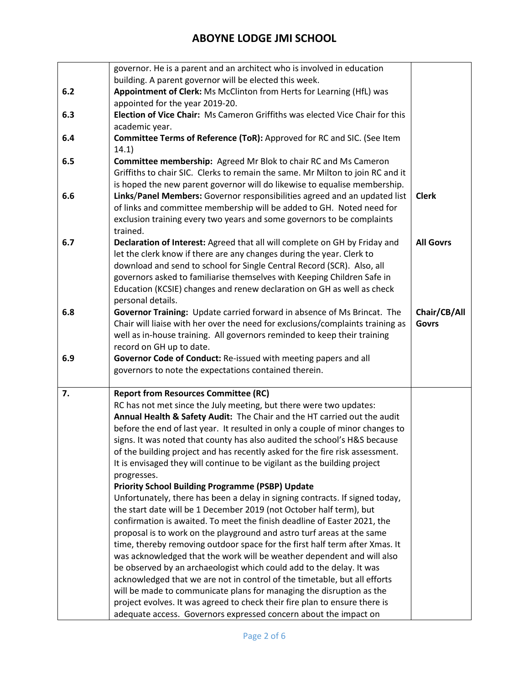|     | governor. He is a parent and an architect who is involved in education                                                                                    |                  |
|-----|-----------------------------------------------------------------------------------------------------------------------------------------------------------|------------------|
|     | building. A parent governor will be elected this week.                                                                                                    |                  |
| 6.2 | Appointment of Clerk: Ms McClinton from Herts for Learning (HfL) was                                                                                      |                  |
|     | appointed for the year 2019-20.                                                                                                                           |                  |
| 6.3 | Election of Vice Chair: Ms Cameron Griffiths was elected Vice Chair for this                                                                              |                  |
|     | academic year.                                                                                                                                            |                  |
| 6.4 | Committee Terms of Reference (ToR): Approved for RC and SIC. (See Item                                                                                    |                  |
|     | 14.1)                                                                                                                                                     |                  |
| 6.5 | Committee membership: Agreed Mr Blok to chair RC and Ms Cameron                                                                                           |                  |
|     | Griffiths to chair SIC. Clerks to remain the same. Mr Milton to join RC and it                                                                            |                  |
|     | is hoped the new parent governor will do likewise to equalise membership.                                                                                 |                  |
| 6.6 | Links/Panel Members: Governor responsibilities agreed and an updated list                                                                                 | <b>Clerk</b>     |
|     | of links and committee membership will be added to GH. Noted need for                                                                                     |                  |
|     | exclusion training every two years and some governors to be complaints<br>trained.                                                                        |                  |
| 6.7 | Declaration of Interest: Agreed that all will complete on GH by Friday and                                                                                | <b>All Govrs</b> |
|     | let the clerk know if there are any changes during the year. Clerk to                                                                                     |                  |
|     | download and send to school for Single Central Record (SCR). Also, all                                                                                    |                  |
|     | governors asked to familiarise themselves with Keeping Children Safe in                                                                                   |                  |
|     | Education (KCSIE) changes and renew declaration on GH as well as check                                                                                    |                  |
|     | personal details.                                                                                                                                         |                  |
| 6.8 | Governor Training: Update carried forward in absence of Ms Brincat. The                                                                                   | Chair/CB/All     |
|     | Chair will liaise with her over the need for exclusions/complaints training as                                                                            | <b>Govrs</b>     |
|     | well as in-house training. All governors reminded to keep their training                                                                                  |                  |
|     | record on GH up to date.                                                                                                                                  |                  |
| 6.9 | Governor Code of Conduct: Re-issued with meeting papers and all                                                                                           |                  |
|     | governors to note the expectations contained therein.                                                                                                     |                  |
|     |                                                                                                                                                           |                  |
| 7.  | <b>Report from Resources Committee (RC)</b>                                                                                                               |                  |
|     | RC has not met since the July meeting, but there were two updates:                                                                                        |                  |
|     | Annual Health & Safety Audit: The Chair and the HT carried out the audit                                                                                  |                  |
|     | before the end of last year. It resulted in only a couple of minor changes to                                                                             |                  |
|     | signs. It was noted that county has also audited the school's H&S because<br>of the building project and has recently asked for the fire risk assessment. |                  |
|     | It is envisaged they will continue to be vigilant as the building project                                                                                 |                  |
|     | progresses.                                                                                                                                               |                  |
|     | <b>Priority School Building Programme (PSBP) Update</b>                                                                                                   |                  |
|     | Unfortunately, there has been a delay in signing contracts. If signed today,                                                                              |                  |
|     | the start date will be 1 December 2019 (not October half term), but                                                                                       |                  |
|     | confirmation is awaited. To meet the finish deadline of Easter 2021, the                                                                                  |                  |
|     | proposal is to work on the playground and astro turf areas at the same                                                                                    |                  |
|     | time, thereby removing outdoor space for the first half term after Xmas. It                                                                               |                  |
|     | was acknowledged that the work will be weather dependent and will also                                                                                    |                  |
|     | be observed by an archaeologist which could add to the delay. It was                                                                                      |                  |
|     | acknowledged that we are not in control of the timetable, but all efforts                                                                                 |                  |
|     | will be made to communicate plans for managing the disruption as the                                                                                      |                  |
|     | project evolves. It was agreed to check their fire plan to ensure there is                                                                                |                  |
|     | adequate access. Governors expressed concern about the impact on                                                                                          |                  |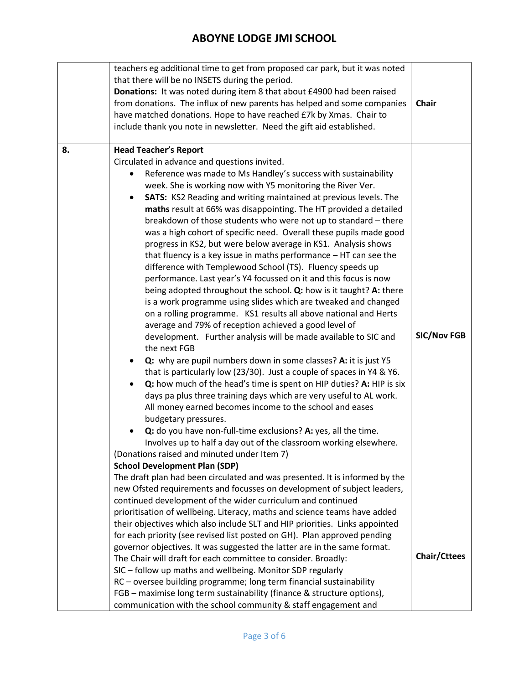|    | teachers eg additional time to get from proposed car park, but it was noted<br>that there will be no INSETS during the period.<br>Donations: It was noted during item 8 that about £4900 had been raised<br>from donations. The influx of new parents has helped and some companies<br>have matched donations. Hope to have reached £7k by Xmas. Chair to<br>include thank you note in newsletter. Need the gift aid established. | <b>Chair</b>        |
|----|-----------------------------------------------------------------------------------------------------------------------------------------------------------------------------------------------------------------------------------------------------------------------------------------------------------------------------------------------------------------------------------------------------------------------------------|---------------------|
| 8. | <b>Head Teacher's Report</b>                                                                                                                                                                                                                                                                                                                                                                                                      |                     |
|    | Circulated in advance and questions invited.                                                                                                                                                                                                                                                                                                                                                                                      |                     |
|    | Reference was made to Ms Handley's success with sustainability<br>week. She is working now with Y5 monitoring the River Ver.                                                                                                                                                                                                                                                                                                      |                     |
|    | <b>SATS:</b> KS2 Reading and writing maintained at previous levels. The<br>$\bullet$                                                                                                                                                                                                                                                                                                                                              |                     |
|    | maths result at 66% was disappointing. The HT provided a detailed                                                                                                                                                                                                                                                                                                                                                                 |                     |
|    | breakdown of those students who were not up to standard - there                                                                                                                                                                                                                                                                                                                                                                   |                     |
|    | was a high cohort of specific need. Overall these pupils made good                                                                                                                                                                                                                                                                                                                                                                |                     |
|    | progress in KS2, but were below average in KS1. Analysis shows                                                                                                                                                                                                                                                                                                                                                                    |                     |
|    | that fluency is a key issue in maths performance $-$ HT can see the<br>difference with Templewood School (TS). Fluency speeds up                                                                                                                                                                                                                                                                                                  |                     |
|    | performance. Last year's Y4 focussed on it and this focus is now                                                                                                                                                                                                                                                                                                                                                                  |                     |
|    | being adopted throughout the school. Q: how is it taught? A: there                                                                                                                                                                                                                                                                                                                                                                |                     |
|    | is a work programme using slides which are tweaked and changed                                                                                                                                                                                                                                                                                                                                                                    |                     |
|    | on a rolling programme. KS1 results all above national and Herts                                                                                                                                                                                                                                                                                                                                                                  |                     |
|    | average and 79% of reception achieved a good level of<br>development. Further analysis will be made available to SIC and                                                                                                                                                                                                                                                                                                          | <b>SIC/Nov FGB</b>  |
|    | the next FGB                                                                                                                                                                                                                                                                                                                                                                                                                      |                     |
|    | Q: why are pupil numbers down in some classes? A: it is just Y5                                                                                                                                                                                                                                                                                                                                                                   |                     |
|    | that is particularly low (23/30). Just a couple of spaces in Y4 & Y6.                                                                                                                                                                                                                                                                                                                                                             |                     |
|    | Q: how much of the head's time is spent on HIP duties? A: HIP is six                                                                                                                                                                                                                                                                                                                                                              |                     |
|    | days pa plus three training days which are very useful to AL work.                                                                                                                                                                                                                                                                                                                                                                |                     |
|    | All money earned becomes income to the school and eases<br>budgetary pressures.                                                                                                                                                                                                                                                                                                                                                   |                     |
|    | Q: do you have non-full-time exclusions? A: yes, all the time.                                                                                                                                                                                                                                                                                                                                                                    |                     |
|    | Involves up to half a day out of the classroom working elsewhere.                                                                                                                                                                                                                                                                                                                                                                 |                     |
|    | (Donations raised and minuted under Item 7)                                                                                                                                                                                                                                                                                                                                                                                       |                     |
|    | <b>School Development Plan (SDP)</b>                                                                                                                                                                                                                                                                                                                                                                                              |                     |
|    | The draft plan had been circulated and was presented. It is informed by the                                                                                                                                                                                                                                                                                                                                                       |                     |
|    | new Ofsted requirements and focusses on development of subject leaders,<br>continued development of the wider curriculum and continued                                                                                                                                                                                                                                                                                            |                     |
|    | prioritisation of wellbeing. Literacy, maths and science teams have added                                                                                                                                                                                                                                                                                                                                                         |                     |
|    | their objectives which also include SLT and HIP priorities. Links appointed                                                                                                                                                                                                                                                                                                                                                       |                     |
|    | for each priority (see revised list posted on GH). Plan approved pending                                                                                                                                                                                                                                                                                                                                                          |                     |
|    | governor objectives. It was suggested the latter are in the same format.                                                                                                                                                                                                                                                                                                                                                          | <b>Chair/Cttees</b> |
|    | The Chair will draft for each committee to consider. Broadly:                                                                                                                                                                                                                                                                                                                                                                     |                     |
|    | SIC - follow up maths and wellbeing. Monitor SDP regularly<br>RC - oversee building programme; long term financial sustainability                                                                                                                                                                                                                                                                                                 |                     |
|    | FGB - maximise long term sustainability (finance & structure options),                                                                                                                                                                                                                                                                                                                                                            |                     |
|    | communication with the school community & staff engagement and                                                                                                                                                                                                                                                                                                                                                                    |                     |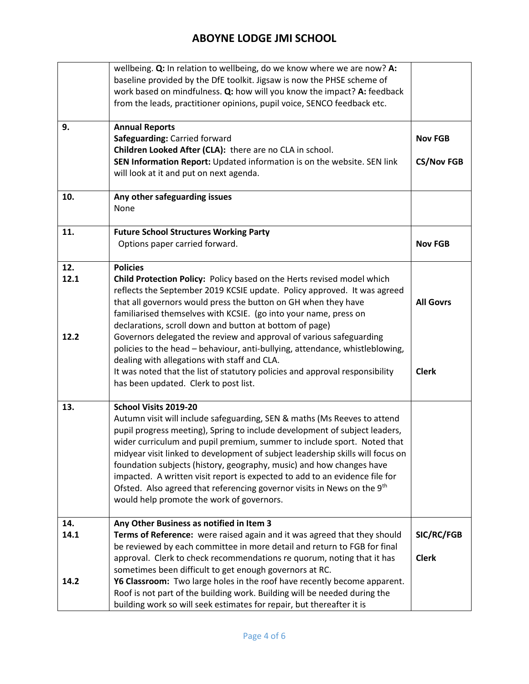|                     | wellbeing. Q: In relation to wellbeing, do we know where we are now? A:<br>baseline provided by the DfE toolkit. Jigsaw is now the PHSE scheme of<br>work based on mindfulness. Q: how will you know the impact? A: feedback<br>from the leads, practitioner opinions, pupil voice, SENCO feedback etc.                                                                                                                                                                                                                                                                                                                                                                          |                                     |
|---------------------|----------------------------------------------------------------------------------------------------------------------------------------------------------------------------------------------------------------------------------------------------------------------------------------------------------------------------------------------------------------------------------------------------------------------------------------------------------------------------------------------------------------------------------------------------------------------------------------------------------------------------------------------------------------------------------|-------------------------------------|
| 9.                  | <b>Annual Reports</b><br>Safeguarding: Carried forward<br>Children Looked After (CLA): there are no CLA in school.<br>SEN Information Report: Updated information is on the website. SEN link<br>will look at it and put on next agenda.                                                                                                                                                                                                                                                                                                                                                                                                                                         | <b>Nov FGB</b><br><b>CS/Nov FGB</b> |
| 10.                 | Any other safeguarding issues<br>None                                                                                                                                                                                                                                                                                                                                                                                                                                                                                                                                                                                                                                            |                                     |
| 11.                 | <b>Future School Structures Working Party</b><br>Options paper carried forward.                                                                                                                                                                                                                                                                                                                                                                                                                                                                                                                                                                                                  | <b>Nov FGB</b>                      |
| 12.<br>12.1<br>12.2 | <b>Policies</b><br>Child Protection Policy: Policy based on the Herts revised model which<br>reflects the September 2019 KCSIE update. Policy approved. It was agreed<br>that all governors would press the button on GH when they have<br>familiarised themselves with KCSIE. (go into your name, press on<br>declarations, scroll down and button at bottom of page)<br>Governors delegated the review and approval of various safeguarding<br>policies to the head - behaviour, anti-bullying, attendance, whistleblowing,<br>dealing with allegations with staff and CLA.<br>It was noted that the list of statutory policies and approval responsibility                    | <b>All Govrs</b><br><b>Clerk</b>    |
| 13.                 | has been updated. Clerk to post list.<br>School Visits 2019-20<br>Autumn visit will include safeguarding, SEN & maths (Ms Reeves to attend<br>pupil progress meeting), Spring to include development of subject leaders,<br>wider curriculum and pupil premium, summer to include sport. Noted that<br>midyear visit linked to development of subject leadership skills will focus on<br>foundation subjects (history, geography, music) and how changes have<br>impacted. A written visit report is expected to add to an evidence file for<br>Ofsted. Also agreed that referencing governor visits in News on the 9 <sup>th</sup><br>would help promote the work of governors. |                                     |
| 14.<br>14.1<br>14.2 | Any Other Business as notified in Item 3<br>Terms of Reference: were raised again and it was agreed that they should<br>be reviewed by each committee in more detail and return to FGB for final<br>approval. Clerk to check recommendations re quorum, noting that it has<br>sometimes been difficult to get enough governors at RC.<br>Y6 Classroom: Two large holes in the roof have recently become apparent.<br>Roof is not part of the building work. Building will be needed during the<br>building work so will seek estimates for repair, but thereafter it is                                                                                                          | SIC/RC/FGB<br><b>Clerk</b>          |